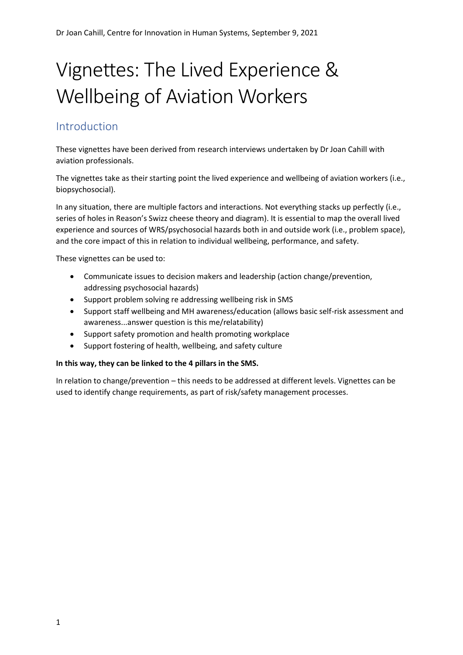# Vignettes: The Lived Experience & Wellbeing of Aviation Workers

#### Introduction

These vignettes have been derived from research interviews undertaken by Dr Joan Cahill with aviation professionals.

The vignettes take as their starting point the lived experience and wellbeing of aviation workers (i.e., biopsychosocial).

In any situation, there are multiple factors and interactions. Not everything stacks up perfectly (i.e., series of holes in Reason's Swizz cheese theory and diagram). It is essential to map the overall lived experience and sources of WRS/psychosocial hazards both in and outside work (i.e., problem space), and the core impact of this in relation to individual wellbeing, performance, and safety.

These vignettes can be used to:

- Communicate issues to decision makers and leadership (action change/prevention, addressing psychosocial hazards)
- Support problem solving re addressing wellbeing risk in SMS
- Support staff wellbeing and MH awareness/education (allows basic self-risk assessment and awareness...answer question is this me/relatability)
- Support safety promotion and health promoting workplace
- Support fostering of health, wellbeing, and safety culture

#### **In this way, they can be linked to the 4 pillars in the SMS.**

In relation to change/prevention – this needs to be addressed at different levels. Vignettes can be used to identify change requirements, as part of risk/safety management processes.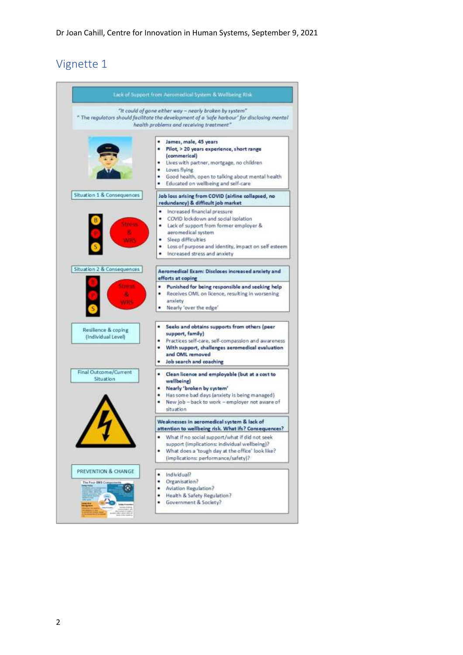|                                               | "It could of gone either way - nearly broken by system".<br>" The regulators should facilitate the development of a 'safe harbour' for disclosing mental<br>health problems and receiving treatment"                                                |
|-----------------------------------------------|-----------------------------------------------------------------------------------------------------------------------------------------------------------------------------------------------------------------------------------------------------|
|                                               | James, male, 45 years<br>. Pilot, > 20 years experience, short range<br>(commerical)<br>. Lives with partner, mortgage, no children<br>Loves flying<br>٠<br>Good health, open to talking about mental health<br>Educated on wellbeing and self-care |
| Situation 1 & Consequences                    | Job loss arising from COVID (airline collapsed, no<br>redundancy) & difficult job market                                                                                                                                                            |
|                                               | Increased financial pressure<br>COVID lockdown and social isolation<br>Lack of support from former employer &<br>aeromedical system<br>Sleep difficulties<br>Loss of purpose and identity, impact on self-esteem<br>Increased stress and anxiety    |
| Situation 2 & Consequences                    | Aeromedical Exam: Discloses increased anxiety and<br>efforts at coping                                                                                                                                                                              |
|                                               | Punished for being responsible and seeking help<br>Receives OML on licence, resulting in worsening<br>anxiety<br>Nearly 'over the edge'                                                                                                             |
| Resilience & coping<br>(Individual Level)     | Seeks and obtains supports from others (peer<br>support, family)<br>Practices self-care, self-compassion and awareness<br>With support, challenges aeromedical evaluation<br>٠<br>and OML removed<br>. Job search and coaching                      |
| Final Outcome/Current<br>Situation            | • Clean licence and employable (but at a cost to<br>wellbeing).<br>. Nearly 'broken by system'<br>· Has some bad days (anxiety is being managed)<br>New job - back to work - employer not aware of<br>situation                                     |
|                                               | Weaknesses in aeromedical system & lack of<br>attention to wellbeing risk. What ifs? Consequences?                                                                                                                                                  |
|                                               | What if no social support/what if did not seek<br>support (implications: individual wellbeing)?<br>What does a 'tough day at the office' look like?<br>٠<br>(implications: performance/safety)?                                                     |
| PREVENTION & CHANGE<br>The Four INS Component | Individual?<br>٠<br>Organisation?<br>٠<br>Aviation Regulation?<br>Health & Safety Regulation?<br>Government & Society?                                                                                                                              |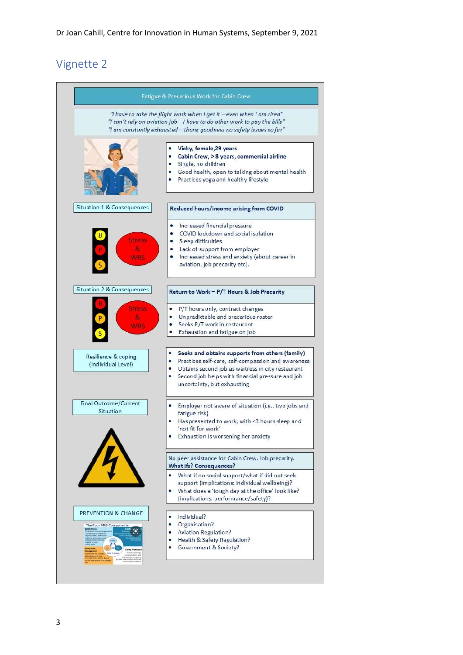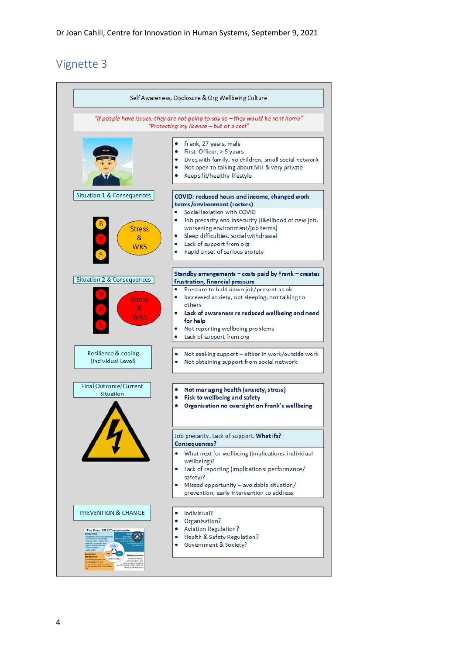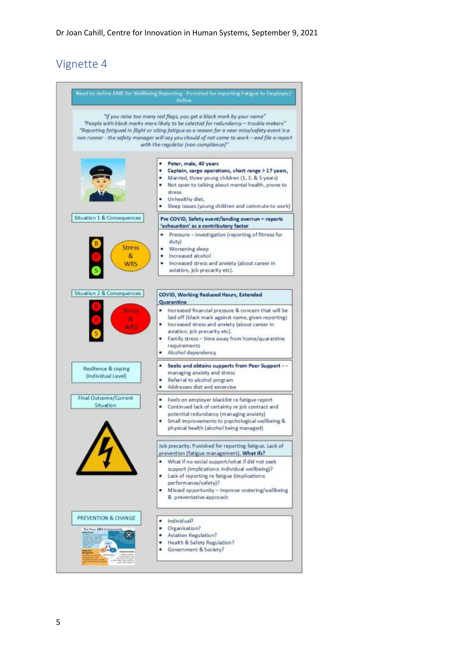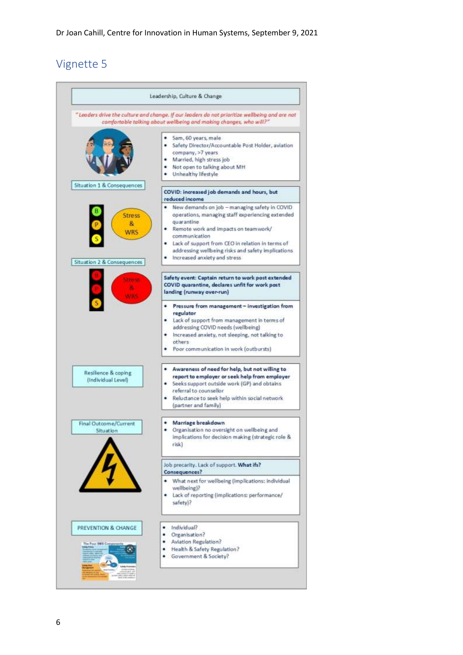